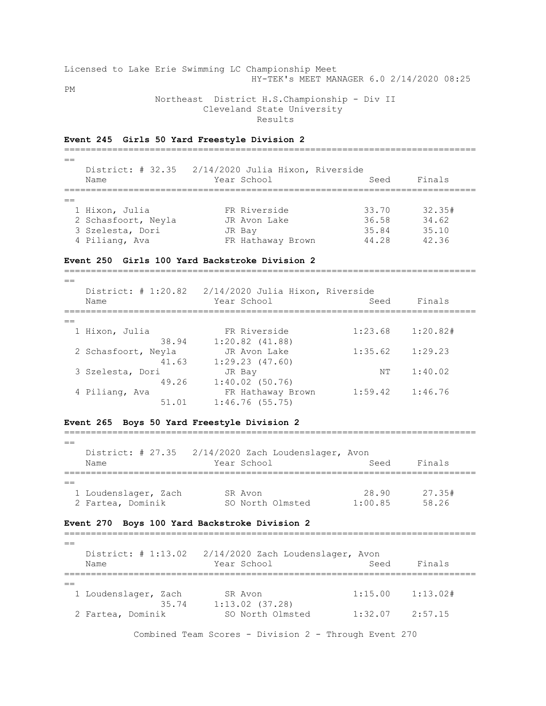Licensed to Lake Erie Swimming LC Championship Meet HY-TEK's MEET MANAGER 6.0 2/14/2020 08:25 PM Northeast District H.S.Championship - Div II

Cleveland State University

Results

## **Event 245 Girls 50 Yard Freestyle Division 2** =============================================================================  $=$  District: # 32.35 2/14/2020 Julia Hixon, Riverside Name Year School Seed Finals =============================================================================  $-$  1 Hixon, Julia FR Riverside 33.70 32.35# 2 Schasfoort, Neyla<br>
2 Schasfoort, Neyla<br>
3 Szelesta, Dori JR Bay 35.84 35.10<br>
35.84 35.10 3 Szelesta, Dori JR Bay 35.84 35.10 4 Piliang, Ava FR Hathaway Brown 44.28 42.36

=============================================================================

## **Event 250 Girls 100 Yard Backstroke Division 2**

 $=$  District: # 1:20.82 2/14/2020 Julia Hixon, Riverside Name The Year School Seed Finals =============================================================================  $=$  1 Hixon, Julia FR Riverside 1:23.68 1:20.82# 38.94 1:20.82 (41.88) 2 Schasfoort, Neyla JR Avon Lake 1:35.62 1:29.23 41.63 1:29.23 (47.60) 3 Szelesta, Dori JR Bay NT 1:40.02 49.26 1:40.02 (50.76) 4 Piliang, Ava FR Hathaway Brown 1:59.42 1:46.76  $51.01$   $1:46.76$  (55.75)

## **Event 265 Boys 50 Yard Freestyle Division 2**

============================================================================= == District: # 27.35 2/14/2020 Zach Loudenslager, Avon Name The Year School Seed Finals =============================================================================  $=$ 

| 1 Loudenslager, Zach | SR Avon          | 28.90   | 27.35# |
|----------------------|------------------|---------|--------|
| 2 Fartea, Dominik    | SO North Olmsted | 1:00.85 | 58.26  |

## **Event 270 Boys 100 Yard Backstroke Division 2**

=============================================================================  $=$  District: # 1:13.02 2/14/2020 Zach Loudenslager, Avon Name The Year School Contracts Seed Finals ============================================================================= == 1 Loudenslager, Zach SR Avon 1:15.00 1:13.02# 35.74 1:13.02 (37.28) 2 Fartea, Dominik SO North Olmsted 1:32.07 2:57.15

Combined Team Scores - Division 2 - Through Event 270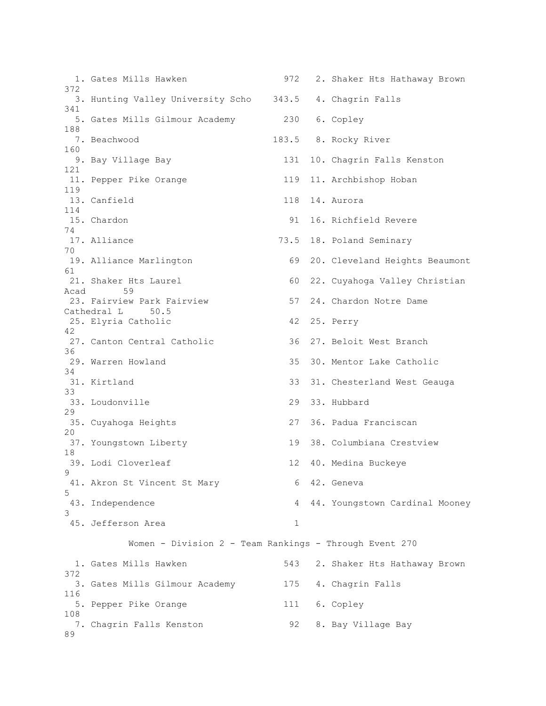1. Gates Mills Hawken 972 2. Shaker Hts Hathaway Brown 372 3. Hunting Valley University Scho 343.5 4. Chagrin Falls 341 5. Gates Mills Gilmour Academy 230 6. Copley 188 7. Beachwood 183.5 8. Rocky River 160 9. Bay Village Bay 131 10. Chagrin Falls Kenston 121 11. Pepper Pike Orange 119 11. Archbishop Hoban 119 13. Canfield 118 14. Aurora 114 15. Chardon 91 16. Richfield Revere 74 17. Alliance 73.5 18. Poland Seminary 70 19. Alliance Marlington 69 20. Cleveland Heights Beaumont 61 21. Shaker Hts Laurel 60 22. Cuyahoga Valley Christian Acad 59 23. Fairview Park Fairview 57 24. Chardon Notre Dame Cathedral L 50.5 25. Elyria Catholic 42 25. Perry 42 27. Canton Central Catholic 36 27. Beloit West Branch 36 29. Warren Howland 35 30. Mentor Lake Catholic 34 31. Kirtland 33 31. Chesterland West Geauga 33 33. Loudonville 29 33. Hubbard 29 35. Cuyahoga Heights 27 36. Padua Franciscan 20 37. Youngstown Liberty 19 38. Columbiana Crestview 18 39. Lodi Cloverleaf 12 40. Medina Buckeye  $\mathsf{Q}$ 41. Akron St Vincent St Mary 6 42. Geneva 5 43. Independence 4 44. Youngstown Cardinal Mooney 3 45. Jefferson Area 1 Women - Division 2 - Team Rankings - Through Event 270 1. Gates Mills Hawken 543 2. Shaker Hts Hathaway Brown 372 3. Gates Mills Gilmour Academy 175 4. Chagrin Falls 116 5. Pepper Pike Orange 111 6. Copley 108 7. Chagrin Falls Kenston 92 8. Bay Village Bay 89